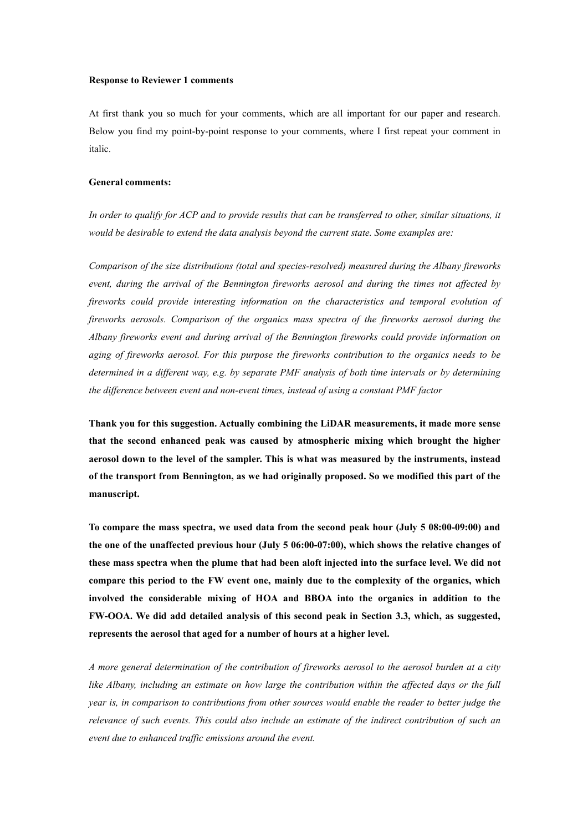# **Response to Reviewer 1 comments**

At first thank you so much for your comments, which are all important for our paper and research. Below you find my point-by-point response to your comments, where I first repeat your comment in italic.

# **General comments:**

In order to qualify for ACP and to provide results that can be transferred to other, similar situations, it *would be desirable to extend the data analysis beyond the currentstate. Some examples are:*

*Comparison of the size distributions (total and species-resolved) measured during the Albany fireworks event, during the arrivalof the Bennington fireworks aerosol and during the times not af ected by fireworks could provide interesting information on the characteristics and temporal evolution of fireworks aerosols. Comparison of the organics mass spectra of the fireworks aerosol during the Albany fireworks event and during arrival ofthe Bennington fireworks could provide information on aging of fireworks aerosol. For this purpose the fireworks contribution to the organics needs to be* determined in a different way, e.g. by separate PMF analysis of both time intervals or by determining *the dif erence between event and non-eventtimes, instead of using a constant PMF factor*

**Thank you for this suggestion. Actually combining the LiDAR measurements, it made more sense that the second enhanced peak was caused by atmospheric mixing which brought the higher aerosol down to the level of the sampler. This is what was measured by the instruments, instead of the transport from Bennington, as we had originally proposed. So we modified this part of the manuscript.**

**To compare the mass spectra, we used data from the second peak hour (July 5 08:00-09:00) and the one of the unaffected previous hour (July 5 06:00-07:00), which shows the relative changes of these mass spectra when the plume that had been aloft injected into the surface level. We did not compare this period to the FW event one, mainly due to the complexity of the organics, which involved the considerable mixing of HOA and BBOA into the organics in addition to the FW-OOA. We did add detailed analysis of this second peak in Section 3.3, which, as suggested, represents the aerosol that aged for a number of hours ata higher level.**

*A more general determination of the contribution of fireworks aerosol to the aerosol burden at a city* like Albany, including an estimate on how large the contribution within the affected days or the full *year is, in comparison to contributions from other sources would enable the reader to better judge the relevance of such events. This could also include an estimate of the indirect contribution of such an event due to enhanced traf ic emissions around the event.*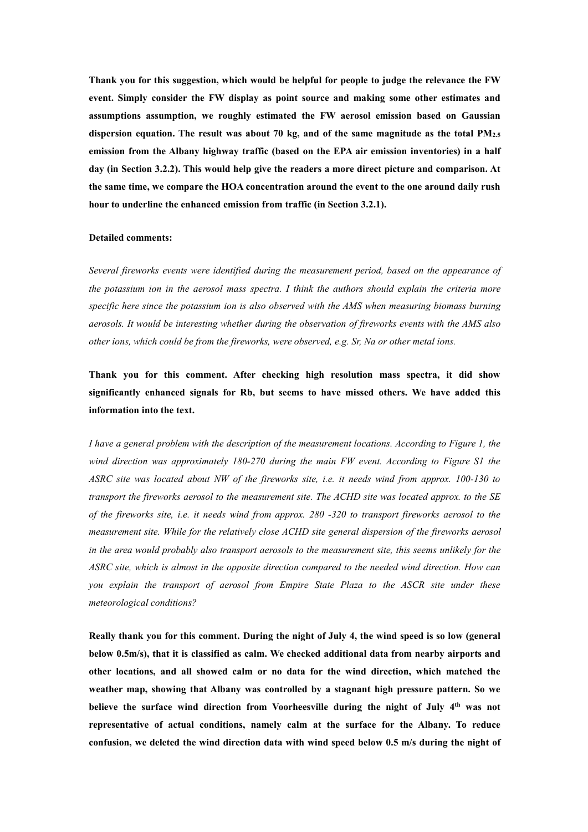**Thank you for this suggestion, which would be helpful for people to judge the relevance the FW event. Simply consider the FW display as point source and making some other estimates and assumptions assumption, we roughly estimated the FW aerosol emission based on Gaussian dispersion equation. The result was about 70 kg, and of the same magnitude as the total PM2.5 emission from the Albany highway traffic (based on the EPA air emission inventories) in a half day (in Section 3.2.2). This would help give the readers a more direct picture and comparison. At the same time, we compare the HOA concentration around the event to the one around daily rush hour to underline the enhanced emission from traffic (in Section 3.2.1).**

#### **Detailed comments:**

*Several fireworks events were identified during the measurement period, based on the appearance of the potassium ion in the aerosol mass spectra. I think the authors should explain the criteria more specific here since the potassium ion is also observed with the AMS when measuring biomass burning aerosols. It would be interesting whether during the observation of fireworks events with the AMS also other ions, which could be from the fireworks, were observed, e.g. Sr, Na or other metal ions.*

**Thank you for this comment. After checking high resolution mass spectra, it did show significantly enhanced signals for Rb, but seems to have missed others. We have added this information into the text.**

*I have a general problem with the description of the measurement locations. According to Figure 1, the wind direction was approximately 180-270 during the main FW event. According to Figure S1 the ASRC site was located about NW of the fireworks site, i.e. it needs wind from approx. 100-130 to transport the fireworks aerosol to the measurement site. The ACHD site was located approx. to the SE* of the fireworks site, i.e. it needs wind from approx.  $280 - 320$  to transport fireworks aerosol to the *measurement site. While for the relatively close ACHD site general dispersion of the fireworks aerosol in the area would probably also transport aerosols to the measurement site, this seems unlikely for the ASRC site, which is almost in the opposite direction compared to the needed wind direction. How can you explain the transport of aerosol from Empire State Plaza to the ASCR site under these meteorological conditions?*

Really thank you for this comment. During the night of July 4, the wind speed is so low (general **below 0.5m/s), that it is classified as calm.We checked additional data from nearby airports and other locations, and all showed calm or no data for the wind direction, which matched the weather map, showing that Albany was controlled by a stagnant high pressure pattern. So we believe the surface wind direction from Voorheesville during the night of July 4 th was not representative of actual conditions, namely calm at the surface for the Albany. To reduce confusion, we deleted the wind direction data with wind speed below 0.5 m/s during the night of**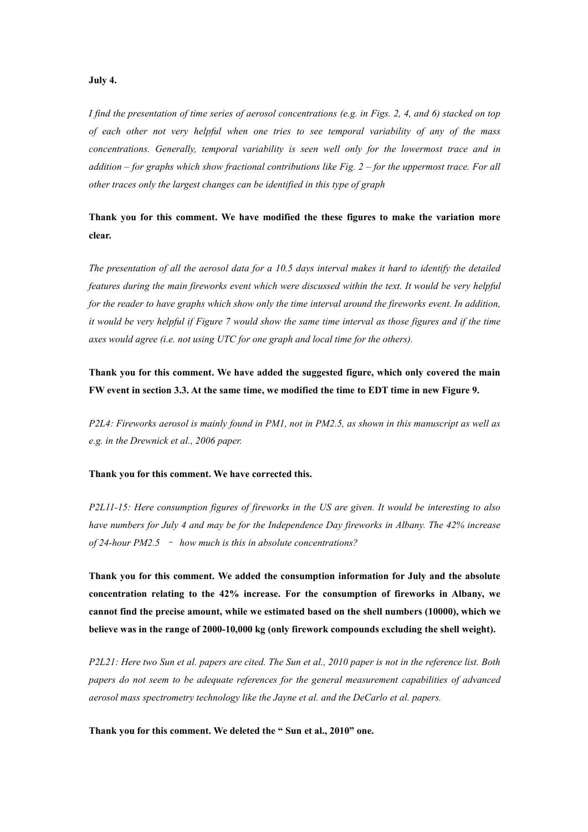# **July 4.**

I find the presentation of time series of aerosol concentrations (e.g. in Figs. 2, 4, and 6) stacked on top *of each other not very helpful when one tries to see temporal variability of any of the mass concentrations. Generally, temporal variability is seen well only for the lowermost trace and in* addition – for graphs which show fractional contributions like Fig.  $2$  – for the uppermost trace. For all *other traces only the largest changes can be identified in this type of graph*

**Thank you for this comment. We have modified the these figures to make the variation more clear.**

The presentation of all the aerosol data for a 10.5 days interval makes it hard to identify the detailed *features during the main fireworks event which were discussed within the text. It would be very helpful for the reader to have graphs which show only the time interval around the fireworks event.In addition,* it would be very helpful if Figure 7 would show the same time interval as those figures and if the time *axes would agree (i.e. not using UTC for one graph and local time for the others).*

**Thank you for this comment. We have added the suggested figure, which only covered the main** FW event in section 3.3. At the same time, we modified the time to EDT time in new Figure 9.

P2L4: Fireworks aerosol is mainly found in PM1, not in PM2.5, as shown in this manuscript as well as *e.g. in the Drewnick et al., 2006 paper.*

### **Thank you for this comment. We have corrected this.**

*P2L11-15: Here consumption figures of fireworks in the US are given. It would be interesting to also have numbers for July 4 and may be for the Independence Day fireworks in Albany. The 42% increase of 24-hour PM2.5* – *how much is this in absolute concentrations?*

**Thank you for this comment. We added the consumption information for July and the absolute concentration relating to the 42% increase. For the consumption of fireworks in Albany, we cannot find the precise amount, while we estimated based on the shell numbers (10000), which we believe was in the range of 2000-10,000 kg (only firework compounds excluding the shell weight).**

P2L21: Here two Sun et al. papers are cited. The Sun et al., 2010 paper is not in the reference list. Both *papers do not seem to be adequate references for the general measurement capabilities of advanced aerosol mass spectrometry technology like the Jayne et al. and the DeCarlo et al. papers.*

**Thank you for this comment. We deleted the " Sun et al.,2010" one.**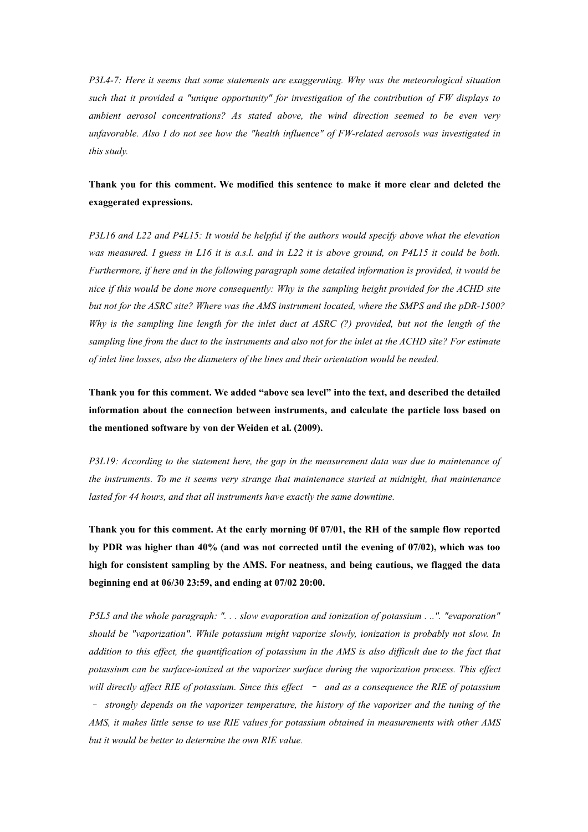*P3L4-7: Here it seems that some statements are exaggerating. Why was the meteorological situation such that it provided a "unique opportunity" for investigation of the contribution of FW displays to ambient aerosol concentrations? As stated above, the wind direction seemed to be even very unfavorable. Also I do not see how the "health influence" of FW-related aerosols was investigated in this study.*

# **Thank you for this comment. We modified this sentence to make it more clear and deleted the exaggerated expressions.**

*P3L16 and L22 and P4L15: It would be helpfulif the authors would specify above what the elevation* was measured. I guess in L16 it is a.s.l. and in L22 it is above ground, on P4L15 it could be both. *Furthermore, if here and in the following paragraph some detailed information is provided, it would be nice if this would be done more consequently: Why isthe sampling height provided for the ACHD site but not for the ASRC site? Where was the AMS instrument located, where the SMPS and the pDR-1500?* Why is the sampling line length for the inlet duct at ASRC  $(?)$  provided, but not the length of the sampling line from the duct to the instruments and also not for the inlet at the ACHD site? For estimate *of inlet line losses, also the diameters of the lines and theirorientation would be needed.*

**Thank you for this comment. We added "above sea level" into the text, and described the detailed information about the connection between instruments,and calculate the particle loss based on the mentioned software by von der Weiden et al. (2009).**

*P3L19: According to the statement here, the gap in the measurement data was due to maintenance of the instruments. To me it seems very strange that maintenance started at midnight, that maintenance lasted for 44 hours, and that all instruments have exactly the same downtime.*

**Thank you for this comment. At the early morning 0f 07/01, the RH of the sample flow reported by PDR was higher than 40% (and was not corrected until the evening of 07/02), which was too high for consistent sampling by the AMS. For neatness, and being cautious, we flagged the data beginning end at 06/30 23:59, and ending at 07/02 20:00.**

*P5L5 and the whole paragraph: ". . . slow evaporation and ionization of potassium . ..". "evaporation" should be "vaporization". While potassium might vaporize slowly, ionization is probably not slow. In* addition to this effect, the quantification of potassium in the AMS is also difficult due to the fact that *potassium can be surface-ionized at the vaporizer surface during the vaporization process. This ef ect* will directly affect RIE of potassium. Since this effect  $\overline{\phantom{a}}$  and as a consequence the RIE of potassium – *strongly depends on thevaporizer temperature, the history of the vaporizer and the tuning of the AMS, it makes little sense to use RIE values for potassium obtained in measurements with other AMS but it would be better to determine the own RIE value.*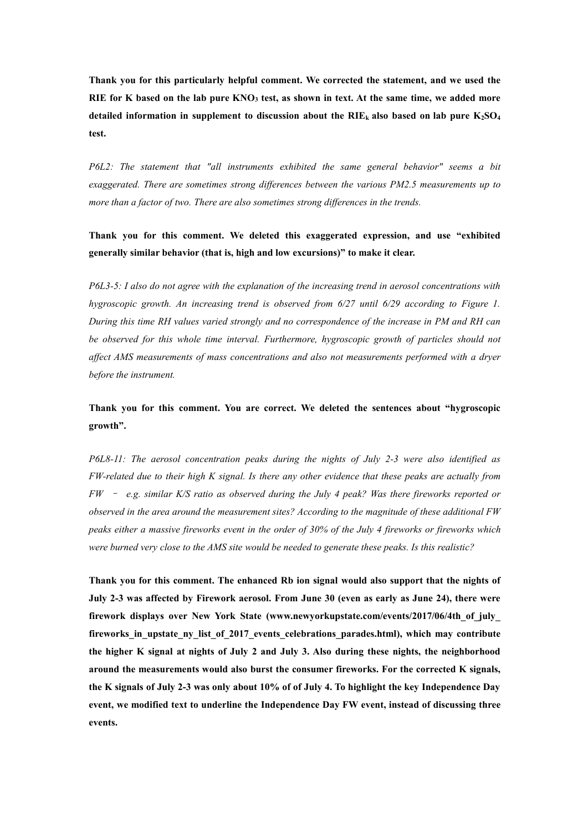**Thank you for this particularly helpful comment. We corrected the statement, and we used the** RIE for K based on the lab pure KNO<sub>3</sub> test, as shown in text. At the same time, we added more detailed information in supplement to discussion about the RIE<sub>k</sub> also based on lab pure  $K_2SO_4$ **test.**

*P6L2: The statement that "all instruments exhibited the same general behavior" seems a bit exaggerated. There are sometimes strong dif erences between the various PM2.5 measurements up to more than a factor of two. There are also sometimes strong dif erences in the trends.*

**Thank you for this comment. We deleted this exaggerated expression, and use "exhibited generally similar behavior (that is, high and low excursions)" to make it clear.**

*P6L3-5: I also do not agree with the explanation of the increasing trend in aerosol concentrations with hygroscopic growth. An increasing trend is observed from 6/27 until 6/29 according to Figure 1. During this time RH values varied strongly and no correspondence of the increase in PM and RH can be observed for this whole time interval. Furthermore, hygroscopic growth of particles should not af ect AMS measurements of mass concentrations and also not measurements performed with a dryer before the instrument.*

**Thank you for this comment. You are correct.We deleted the sentences about "hygroscopic growth".**

*P6L8-11: The aerosol concentration peaks during the nights of July 2-3 were also identified as* FW-related due to their high K signal. Is there any other evidence that these peaks are actually from *FW* – *e.g. similar K/S ratioas observed during the July 4 peak? Was there fireworks reported or observed in the area around the measurement sites? According to the magnitude of these additional FW* peaks either a massive fireworks event in the order of 30% of the July 4 fireworks or fireworks which *were burned very close to the AMS site would be needed to generate these peaks. Is this realistic?*

**Thank you for this comment. The enhanced Rb ion signal would also support that the nights of July 2-3 was affected by Firework aerosol. From June 30 (even as early as June 24), there were firework displays over New York State (www.newyorkupstate.com/events/2017/06/4th\_of\_july\_ fireworks\_in\_upstate\_ny\_list\_of\_2017\_events\_celebrations\_parades.html), which may contribute the higher K signal at nights of July 2 and July 3. Also during these nights, the neighborhood around the measurements would also burst the consumer fireworks. For the corrected K signals,** the K signals of July 2-3 was only about 10% of of July 4. To highlight the key Independence Day **event, we modified text to underline the Independence Day FW event,instead of discussing three events.**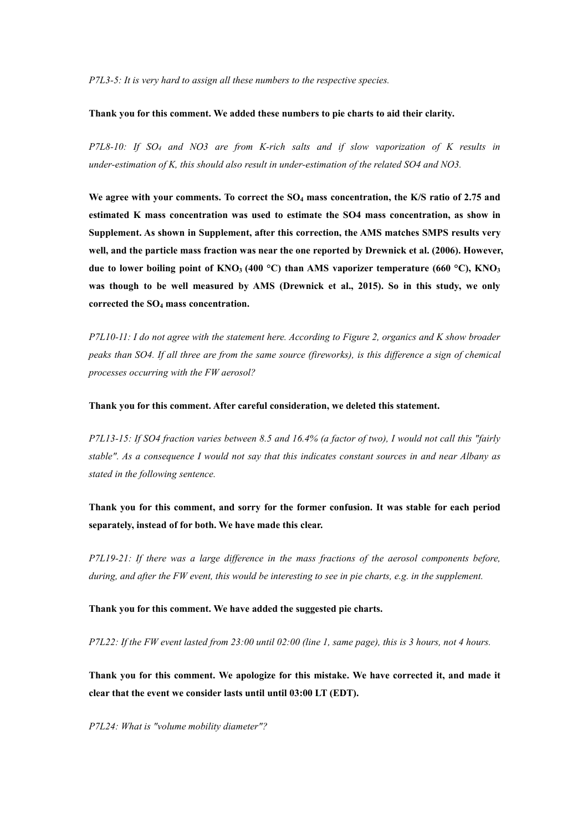*P7L3-5: It is very hard to assign all these numbers to the respective species.*

# **Thank you for this comment. We added these numbers to pie charts to aid their clarity.**

*P7L8-10: If SO<sup>4</sup> and NO3 are from K-rich salts and if slow vaporization of K results in under-estimation of K, this should also result in under-estimation of the related SO4 and NO3.*

**We agree with your comments. To correct the SO<sup>4</sup> mass concentration, the K/S ratio of 2.75 and estimated K mass concentration was used to estimate the SO4 mass concentration, as show in Supplement. As shown in Supplement, after this correction, the AMS matches SMPS resultsvery well, and the particle mass fraction was near the one reported by Drewnick et al. (2006). However, due to lower boiling point of KNO<sup>3</sup> (400 °C) than AMS vaporizer temperature (660 °C), KNO<sup>3</sup> was though to be well measured by AMS (Drewnick et al., 2015). So in this study, we only corrected the SO<sup>4</sup> mass concentration.**

P7L10-11: I do not agree with the statement here. According to Figure 2, organics and K show broader peaks than SO4. If all three are from the same source (fireworks), is this difference a sign of chemical *processes occurring with the FW aerosol?*

**Thank you for this comment. After careful consideration, we deleted this statement.**

P7L13-15: If SO4 fraction varies between 8.5 and 16.4% (a factor of two), I would not call this "fairly stable". As a consequence I would not say that this indicates constant sources in and near Albany as *stated in the following sentence.*

**Thank you for this comment, and sorry for the former confusion. It was stable for each period separately, instead of for both. We have made this clear.**

*P7L19-21: Ifthere was a large dif erence in the mass fractions of the aerosol components before,* during, and after the FW event, this would be interesting to see in pie charts, e.g. in the supplement.

**Thank you for this comment. We have added the suggested pie charts.**

 $P7L22$ : If the FW event lasted from 23:00 until 02:00 (line 1, same page), this is 3 hours, not 4 hours.

**Thank you for this comment. We apologize for this mistake. We have corrected it, and made it clear that the event we consider lasts until until 03:00 LT (EDT).**

*P7L24: What is "volume mobility diameter"?*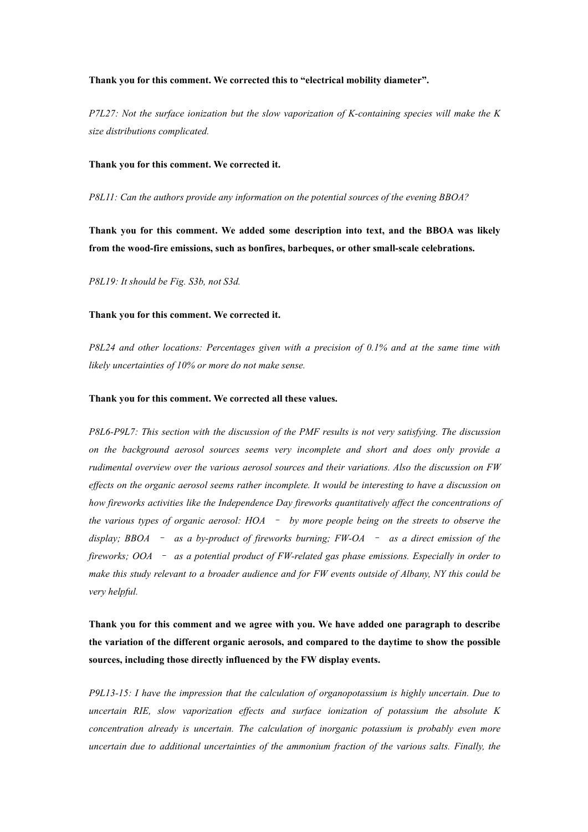## **Thank you for this comment. We corrected this to "electrical mobility diameter".**

*P7L27: Not the surface ionization but the slow vaporization of K-containing species will make the K size distributions complicated.*

#### **Thank you for this comment. We corrected it.**

*P8L11: Can the authors provide any information on the potential sources of the evening BBOA?*

**Thank you for this comment. We added some description into text, and the BBOA was likely from the wood-fire emissions, such as bonfires, barbeques, or other small-scale celebrations.**

*P8L19: It should be Fig. S3b, not S3d.*

#### **Thank you for this comment. We corrected it.**

*P8L24 and other locations: Percentages given with a precision of 0.1% and at the same time with likely uncertainties of 10% or more do not make sense.*

#### **Thank you for this comment. We corrected all these values.**

*P8L6-P9L7: This section with the discussion of the PMF results is not very satisfying. The discussion on the background aerosol sources seems very incomplete and short and does only provide a rudimental overview over the various aerosol sources and their variations. Also the discussion on FW* effects on the organic aerosol seems rather incomplete. It would be interesting to have a discussion on *how fireworks activities like the Independence Day fireworks quantitatively af ect the concentrations of the various types of organic aerosol: HOA* – *by more people being on the streets to observe the display; BBOA* – *as a by-product of fireworks burning; FW-OA* – *as a direct emission of the fireworks; OOA* – *as a potential product of FW-related gas phase emissions. Especially in order to* make this study relevant to a broader audience and for FW events outside of Albany, NY this could be *very helpful.*

**Thank you for this comment and we agree with you. We have added one paragraph to describe the variation of the different organic aerosols, and compared tothe daytime to show the possible sources, including those directly influenced by the FW display events.**

*P9L13-15: I have the impression that the calculation of organopotassium is highly uncertain. Due to uncertain RIE, slow vaporization ef ects and surface ionization of potassium the absolute K concentration already is uncertain. The calculation of inorganic potassium is probably even more uncertain due to additional uncertainties of the ammonium fraction of the various salts. Finally, the*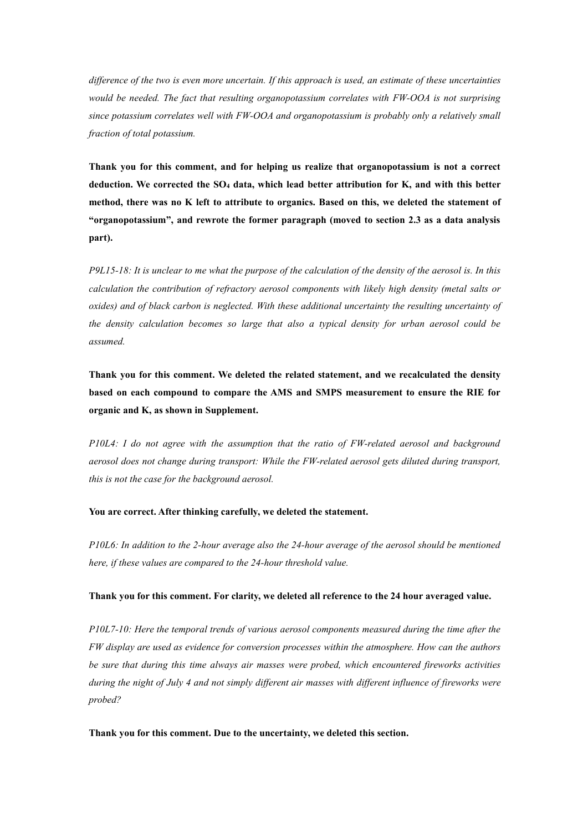difference of the two is even more uncertain. If this approach is used, an estimate of these uncertainties *would be needed.The fact that resulting organopotassium correlates with FW-OOA is not surprising since potassium correlates well with FW-OOA and organopotassium is probably only a relatively small fraction of total potassium.*

**Thank you for this comment, and for helping us realize thatorganopotassium is not a correct deduction. We corrected the SO<sup>4</sup> data, which lead better attribution for K, and with this better method, there was no K left to attribute to organics. Based on this, we deleted the statement of "organopotassium", and rewrote the former paragraph (moved to section 2.3 as a data analysis part).**

P9L15-18: It is unclear to me what the purpose of the calculation of the density of the aerosol is. In this *calculation the contribution of refractory aerosol components with likely high density (metal salts or oxides) and of black carbon is neglected. With these additional uncertainty the resulting uncertainty of the density calculation becomes so large that also a typical density for urban aerosol could be assumed.*

**Thank you for this comment. We deleted the related statement, and we recalculated the density based on each compound to compare the AMS and SMPS measurement to ensure the RIE for organic and K, as shown in Supplement.**

*P10L4: I do not agree with the assumption that the ratio of FW-related aerosol and background aerosol does not change during transport: While the FW-related aerosol gets diluted during transport, this is not the case for the background aerosol.*

## **You are correct. After thinking carefully, we deleted the statement.**

*P10L6: In addition to the 2-hour average also the 24-hour average of the aerosol should be mentioned here, if these values are compared to the 24-hour threshold value.*

# **Thank you for this comment. For clarity, we deleted all reference to the 24 hour averaged value.**

*P10L7-10: Here the temporal trends of various aerosol components measured during the time after the FW display are used as evidence for conversion processes within the atmosphere. How can the authors be sure that during this time always air masses were probed, which encountered fireworks activities* during the night of July 4 and not simply different air masses with different influence of fireworks were *probed?*

**Thank you for this comment. Due to the uncertainty, we deleted this section.**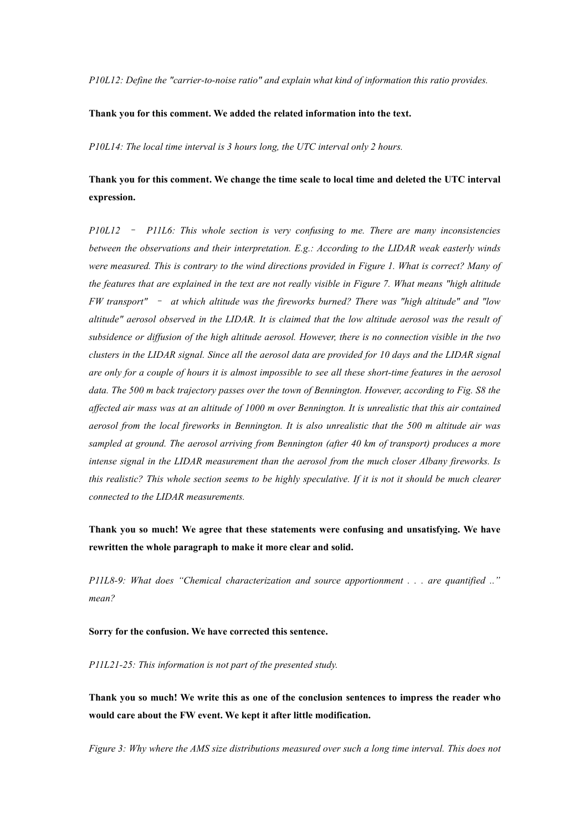*P10L12: Define the "carrier-to-noise ratio" and explain what kind of information this ratio provides.*

# **Thank you for this comment. We added the related information into the text.**

*P10L14: The local time interval is 3 hours long, the UTC interval only 2 hours.*

# **Thank you for this comment. We change the time scale to local time and deleted the UTC interval expression.**

*P10L12* – *P11L6: This whole section is very confusing to me. There are many inconsistencies between the observations and their interpretation. E.g.: According to the LIDAR weak easterly winds* were measured. This is contrary to the wind directions provided in Figure 1. What is correct? Many of the features that are explained in the text are not really visible in Figure 7. What means "high altitude *FW transport"* – *at which altitude was the fireworks burned? There was "high altitude" and "low* altitude" aerosol observed in the LIDAR. It is claimed that the low altitude aerosol was the result of subsidence or diffusion of the high altitude aerosol. However, there is no connection visible in the two clusters in the LIDAR signal. Since all the aerosol data are provided for 10 days and the LIDAR signal are only for a couple of hours it is almost impossible to see all these short-time features in the aerosol data. The 500 m back trajectory passes over the town of Bennington. However, according to Fig. S8 the affected air mass was at an altitude of 1000 m over Bennington. It is unrealistic that this air contained aerosol from the local fireworks in Bennington. It is also unrealistic that the 500 m altitude air was *sampled at ground. The aerosol arriving from Bennington (after 40 km of transport) produces a more intense signal in the LIDAR measurement than the aerosol from the much closer Albany fireworks. Is* this realistic? This whole section seems to be highly speculative. If it is not it should be much clearer *connected to the LIDAR measurements.*

**Thank you so much!We agree that these statements were confusing and unsatisfying.We have rewritten the whole paragraph to make it more clear and solid.**

*P11L8-9: What does "Chemical characterization and source apportionment . . . are quantified .." mean?*

**Sorry for the confusion. We have corrected this sentence.**

*P11L21-25: This information is not part of the presented study.*

**Thank you so much! We write this as one of the conclusion sentences to impress the reader who would careabout the FW event. We keptit after little modification.**

*Figure 3: Why where the AMS size distributions measured over such a long time interval.This does not*